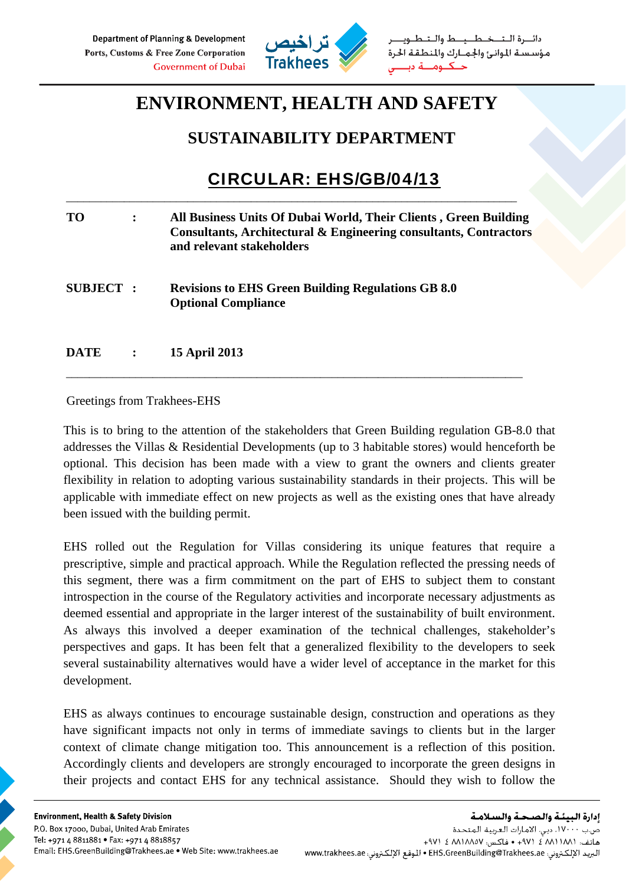

دائرة التخطيط والتط مؤسسة الموانئ والجمارك والمنطقة الحرة حكنوم

## **ENVIRONMENT, HEALTH AND SAFETY**

## **SUSTAINABILITY DEPARTMENT**

## CIRCULAR: EHS/GB/04/13

| <b>TO</b>       | All Business Units Of Dubai World, Their Clients, Green Building<br>Consultants, Architectural & Engineering consultants, Contractors<br>and relevant stakeholders |
|-----------------|--------------------------------------------------------------------------------------------------------------------------------------------------------------------|
| <b>SUBJECT:</b> | <b>Revisions to EHS Green Building Regulations GB 8.0</b><br><b>Optional Compliance</b>                                                                            |
| <b>DATE</b>     | <b>15 April 2013</b>                                                                                                                                               |

\_\_\_\_\_\_\_\_\_\_\_\_\_\_\_\_\_\_\_\_\_\_\_\_\_\_\_\_\_\_\_\_\_\_\_\_\_\_\_\_\_\_\_\_\_\_\_\_\_\_\_\_\_\_\_\_\_\_\_\_\_\_\_\_\_\_\_\_\_\_\_\_\_\_\_\_\_\_\_

\_\_\_\_\_\_\_\_\_\_\_\_\_\_\_\_\_\_\_\_\_\_\_\_\_\_\_\_\_\_\_\_\_\_\_\_\_\_\_\_\_\_\_\_\_\_\_\_\_\_\_\_\_\_\_\_\_\_\_\_\_\_\_\_\_\_\_\_\_\_\_\_\_\_\_\_\_\_

Greetings from Trakhees-EHS

This is to bring to the attention of the stakeholders that Green Building regulation GB-8.0 that addresses the Villas & Residential Developments (up to 3 habitable stores) would henceforth be optional. This decision has been made with a view to grant the owners and clients greater flexibility in relation to adopting various sustainability standards in their projects. This will be applicable with immediate effect on new projects as well as the existing ones that have already been issued with the building permit.

EHS rolled out the Regulation for Villas considering its unique features that require a prescriptive, simple and practical approach. While the Regulation reflected the pressing needs of this segment, there was a firm commitment on the part of EHS to subject them to constant introspection in the course of the Regulatory activities and incorporate necessary adjustments as deemed essential and appropriate in the larger interest of the sustainability of built environment. As always this involved a deeper examination of the technical challenges, stakeholder's perspectives and gaps. It has been felt that a generalized flexibility to the developers to seek several sustainability alternatives would have a wider level of acceptance in the market for this development.

EHS as always continues to encourage sustainable design, construction and operations as they have significant impacts not only in terms of immediate savings to clients but in the larger context of climate change mitigation too. This announcement is a reflection of this position. Accordingly clients and developers are strongly encouraged to incorporate the green designs in their projects and contact EHS for any technical assistance. Should they wish to follow the